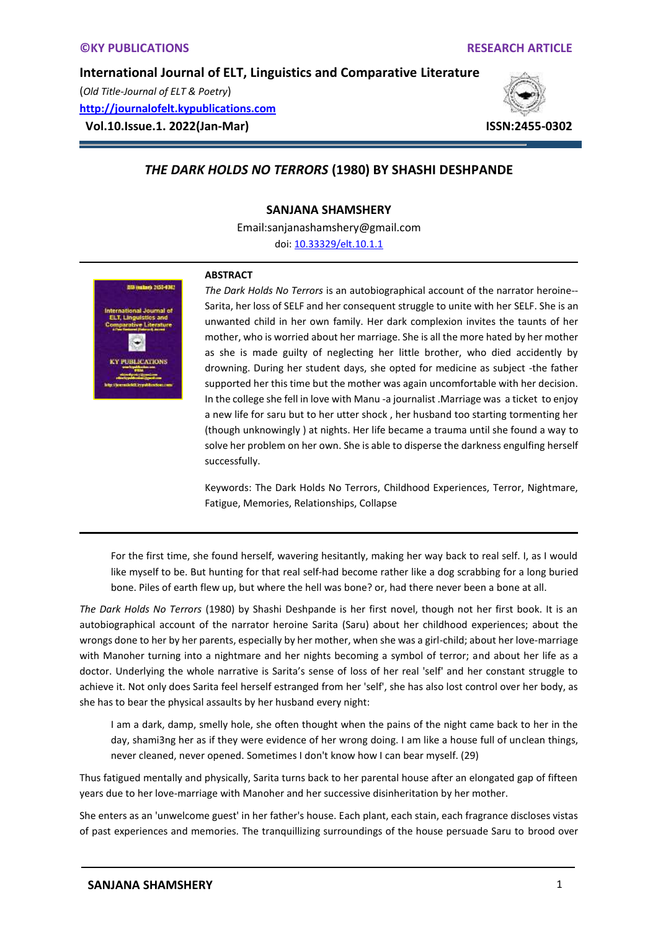(*Old Title-Journal of ELT & Poetry*) **[http://journalofelt.kypublications.com](http://journalofelt.kypublications.com/) Vol.10.Issue.1. 2022(Jan-Mar) ISSN:2455-0302**



# *THE DARK HOLDS NO TERRORS* **(1980) BY SHASHI DESHPANDE**

#### **SANJANA SHAMSHERY**

Email:sanjanashamshery@gmail.com

doi[: 10.33329/elt.10.1.1](http://journalofelt.kypublications.com/)



#### **ABSTRACT**

*The Dark Holds No Terrors* is an autobiographical account of the narrator heroine-- Sarita, her loss of SELF and her consequent struggle to unite with her SELF. She is an unwanted child in her own family. Her dark complexion invites the taunts of her mother, who is worried about her marriage. She is all the more hated by her mother as she is made guilty of neglecting her little brother, who died accidently by drowning. During her student days, she opted for medicine as subject -the father supported her this time but the mother was again uncomfortable with her decision. In the college she fell in love with Manu -a journalist .Marriage was a ticket to enjoy a new life for saru but to her utter shock , her husband too starting tormenting her (though unknowingly ) at nights. Her life became a trauma until she found a way to solve her problem on her own. She is able to disperse the darkness engulfing herself successfully.

Keywords: The Dark Holds No Terrors, Childhood Experiences, Terror, Nightmare, Fatigue, Memories, Relationships, Collapse

For the first time, she found herself, wavering hesitantly, making her way back to real self. I, as I would like myself to be. But hunting for that real self-had become rather like a dog scrabbing for a long buried bone. Piles of earth flew up, but where the hell was bone? or, had there never been a bone at all.

*The Dark Holds No Terrors* (1980) by Shashi Deshpande is her first novel, though not her first book. It is an autobiographical account of the narrator heroine Sarita (Saru) about her childhood experiences; about the wrongs done to her by her parents, especially by her mother, when she was a girl-child; about her love-marriage with Manoher turning into a nightmare and her nights becoming a symbol of terror; and about her life as a doctor. Underlying the whole narrative is Sarita's sense of loss of her real 'self' and her constant struggle to achieve it. Not only does Sarita feel herself estranged from her 'self', she has also lost control over her body, as she has to bear the physical assaults by her husband every night:

I am a dark, damp, smelly hole, she often thought when the pains of the night came back to her in the day, shami3ng her as if they were evidence of her wrong doing. I am like a house full of unclean things, never cleaned, never opened. Sometimes I don't know how I can bear myself. (29)

Thus fatigued mentally and physically, Sarita turns back to her parental house after an elongated gap of fifteen years due to her love-marriage with Manoher and her successive disinheritation by her mother.

She enters as an 'unwelcome guest' in her father's house. Each plant, each stain, each fragrance discloses vistas of past experiences and memories. The tranquillizing surroundings of the house persuade Saru to brood over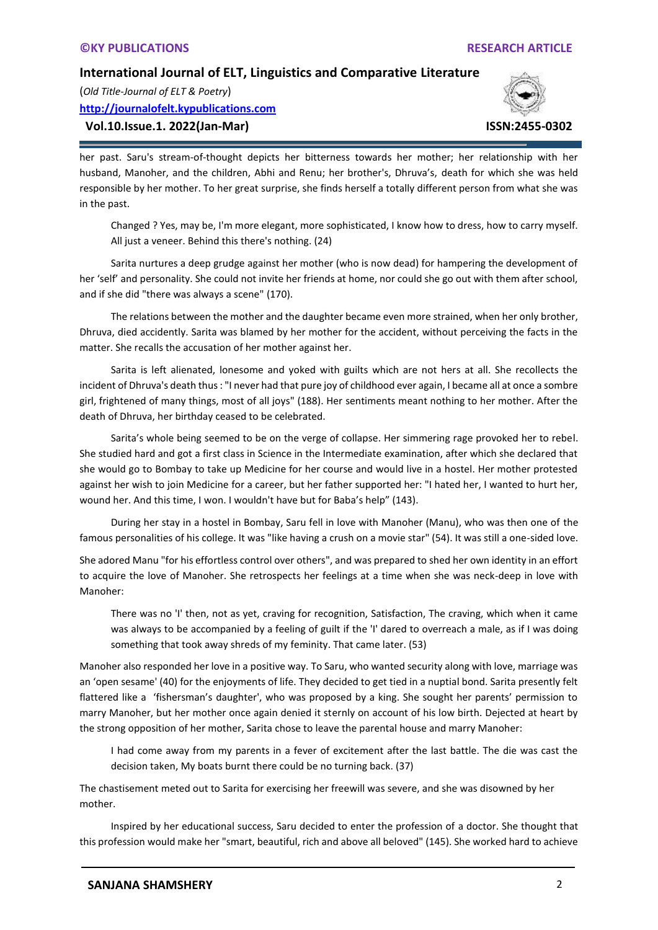(*Old Title-Journal of ELT & Poetry*) **[http://journalofelt.kypublications.com](http://journalofelt.kypublications.com/)**

# **Vol.10.Issue.1. 2022(Jan-Mar) ISSN:2455-0302**



her past. Saru's stream-of-thought depicts her bitterness towards her mother; her relationship with her husband, Manoher, and the children, Abhi and Renu; her brother's, Dhruva's, death for which she was held responsible by her mother. To her great surprise, she finds herself a totally different person from what she was in the past.

Changed ? Yes, may be, I'm more elegant, more sophisticated, I know how to dress, how to carry myself. All just a veneer. Behind this there's nothing. (24)

Sarita nurtures a deep grudge against her mother (who is now dead) for hampering the development of her 'self' and personality. She could not invite her friends at home, nor could she go out with them after school, and if she did "there was always a scene" (170).

The relations between the mother and the daughter became even more strained, when her only brother, Dhruva, died accidently. Sarita was blamed by her mother for the accident, without perceiving the facts in the matter. She recalls the accusation of her mother against her.

Sarita is left alienated, lonesome and yoked with guilts which are not hers at all. She recollects the incident of Dhruva's death thus : "I never had that pure joy of childhood ever again, I became all at once a sombre girl, frightened of many things, most of all joys" (188). Her sentiments meant nothing to her mother. After the death of Dhruva, her birthday ceased to be celebrated.

Sarita's whole being seemed to be on the verge of collapse. Her simmering rage provoked her to rebel. She studied hard and got a first class in Science in the Intermediate examination, after which she declared that she would go to Bombay to take up Medicine for her course and would live in a hostel. Her mother protested against her wish to join Medicine for a career, but her father supported her: "I hated her, I wanted to hurt her, wound her. And this time, I won. I wouldn't have but for Baba's help" (143).

During her stay in a hostel in Bombay, Saru fell in love with Manoher (Manu), who was then one of the famous personalities of his college. It was "like having a crush on a movie star" (54). It was still a one-sided love.

She adored Manu "for his effortless control over others", and was prepared to shed her own identity in an effort to acquire the love of Manoher. She retrospects her feelings at a time when she was neck-deep in love with Manoher:

There was no 'I' then, not as yet, craving for recognition, Satisfaction, The craving, which when it came was always to be accompanied by a feeling of guilt if the 'I' dared to overreach a male, as if I was doing something that took away shreds of my feminity. That came later. (53)

Manoher also responded her love in a positive way. To Saru, who wanted security along with love, marriage was an 'open sesame' (40) for the enjoyments of life. They decided to get tied in a nuptial bond. Sarita presently felt flattered like a 'fishersman's daughter', who was proposed by a king. She sought her parents' permission to marry Manoher, but her mother once again denied it sternly on account of his low birth. Dejected at heart by the strong opposition of her mother, Sarita chose to leave the parental house and marry Manoher:

I had come away from my parents in a fever of excitement after the last battle. The die was cast the decision taken, My boats burnt there could be no turning back. (37)

The chastisement meted out to Sarita for exercising her freewill was severe, and she was disowned by her mother.

Inspired by her educational success, Saru decided to enter the profession of a doctor. She thought that this profession would make her "smart, beautiful, rich and above all beloved" (145). She worked hard to achieve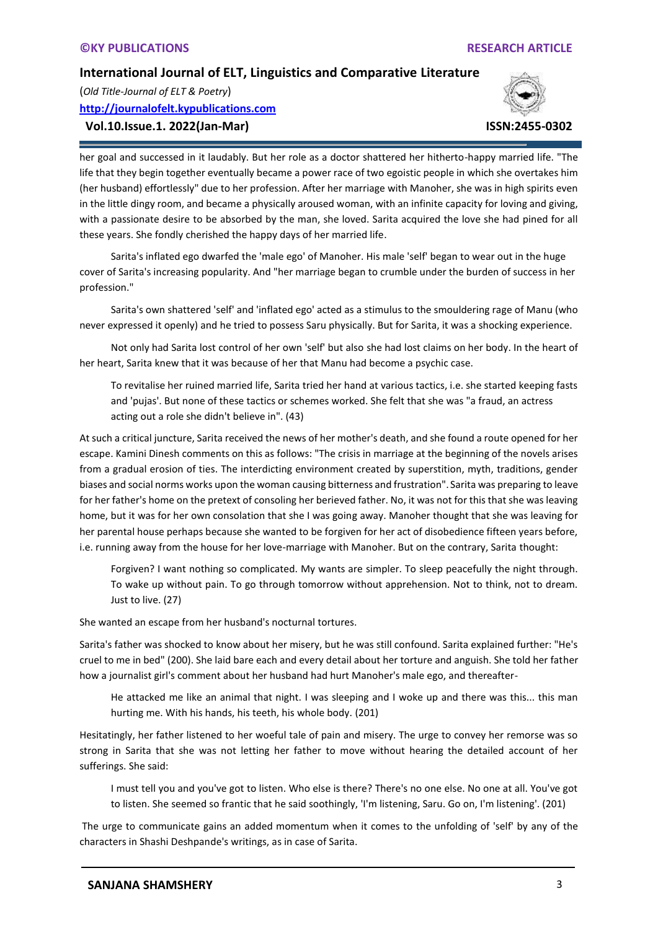(*Old Title-Journal of ELT & Poetry*) **[http://journalofelt.kypublications.com](http://journalofelt.kypublications.com/)**

# **Vol.10.Issue.1. 2022(Jan-Mar) ISSN:2455-0302**



her goal and successed in it laudably. But her role as a doctor shattered her hitherto-happy married life. "The life that they begin together eventually became a power race of two egoistic people in which she overtakes him (her husband) effortlessly" due to her profession. After her marriage with Manoher, she was in high spirits even in the little dingy room, and became a physically aroused woman, with an infinite capacity for loving and giving, with a passionate desire to be absorbed by the man, she loved. Sarita acquired the love she had pined for all these years. She fondly cherished the happy days of her married life.

Sarita's inflated ego dwarfed the 'male ego' of Manoher. His male 'self' began to wear out in the huge cover of Sarita's increasing popularity. And "her marriage began to crumble under the burden of success in her profession."

Sarita's own shattered 'self' and 'inflated ego' acted as a stimulus to the smouldering rage of Manu (who never expressed it openly) and he tried to possess Saru physically. But for Sarita, it was a shocking experience.

Not only had Sarita lost control of her own 'self' but also she had lost claims on her body. In the heart of her heart, Sarita knew that it was because of her that Manu had become a psychic case.

To revitalise her ruined married life, Sarita tried her hand at various tactics, i.e. she started keeping fasts and 'pujas'. But none of these tactics or schemes worked. She felt that she was "a fraud, an actress acting out a role she didn't believe in". (43)

At such a critical juncture, Sarita received the news of her mother's death, and she found a route opened for her escape. Kamini Dinesh comments on this as follows: "The crisis in marriage at the beginning of the novels arises from a gradual erosion of ties. The interdicting environment created by superstition, myth, traditions, gender biases and social norms works upon the woman causing bitterness and frustration". Sarita was preparing to leave for her father's home on the pretext of consoling her berieved father. No, it was not for this that she was leaving home, but it was for her own consolation that she I was going away. Manoher thought that she was leaving for her parental house perhaps because she wanted to be forgiven for her act of disobedience fifteen years before, i.e. running away from the house for her love-marriage with Manoher. But on the contrary, Sarita thought:

Forgiven? I want nothing so complicated. My wants are simpler. To sleep peacefully the night through. To wake up without pain. To go through tomorrow without apprehension. Not to think, not to dream. Just to live. (27)

She wanted an escape from her husband's nocturnal tortures.

Sarita's father was shocked to know about her misery, but he was still confound. Sarita explained further: "He's cruel to me in bed" (200). She laid bare each and every detail about her torture and anguish. She told her father how a journalist girl's comment about her husband had hurt Manoher's male ego, and thereafter-

He attacked me like an animal that night. I was sleeping and I woke up and there was this... this man hurting me. With his hands, his teeth, his whole body. (201)

Hesitatingly, her father listened to her woeful tale of pain and misery. The urge to convey her remorse was so strong in Sarita that she was not letting her father to move without hearing the detailed account of her sufferings. She said:

I must tell you and you've got to listen. Who else is there? There's no one else. No one at all. You've got to listen. She seemed so frantic that he said soothingly, 'I'm listening, Saru. Go on, I'm listening'. (201)

The urge to communicate gains an added momentum when it comes to the unfolding of 'self' by any of the characters in Shashi Deshpande's writings, as in case of Sarita.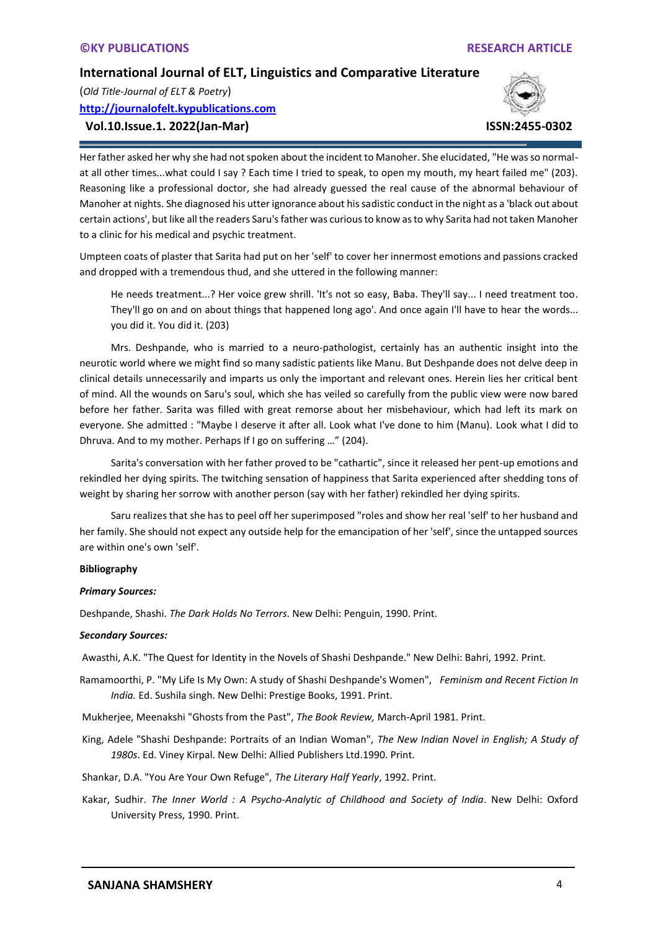(*Old Title-Journal of ELT & Poetry*) **[http://journalofelt.kypublications.com](http://journalofelt.kypublications.com/)**

## **Vol.10.Issue.1. 2022(Jan-Mar) ISSN:2455-0302**



Her father asked her why she had not spoken about the incident to Manoher. She elucidated, "He was so normalat all other times...what could I say ? Each time I tried to speak, to open my mouth, my heart failed me" (203). Reasoning like a professional doctor, she had already guessed the real cause of the abnormal behaviour of Manoher at nights. She diagnosed his utter ignorance about his sadistic conduct in the night as a 'black out about certain actions', but like all the readers Saru's father was curious to know as to why Sarita had not taken Manoher to a clinic for his medical and psychic treatment.

Umpteen coats of plaster that Sarita had put on her 'self' to cover her innermost emotions and passions cracked and dropped with a tremendous thud, and she uttered in the following manner:

He needs treatment...? Her voice grew shrill. 'It's not so easy, Baba. They'll say... I need treatment too. They'll go on and on about things that happened long ago'. And once again I'll have to hear the words... you did it. You did it. (203)

Mrs. Deshpande, who is married to a neuro-pathologist, certainly has an authentic insight into the neurotic world where we might find so many sadistic patients like Manu. But Deshpande does not delve deep in clinical details unnecessarily and imparts us only the important and relevant ones. Herein lies her critical bent of mind. All the wounds on Saru's soul, which she has veiled so carefully from the public view were now bared before her father. Sarita was filled with great remorse about her misbehaviour, which had left its mark on everyone. She admitted : "Maybe I deserve it after all. Look what I've done to him (Manu). Look what I did to Dhruva. And to my mother. Perhaps If I go on suffering …" (204).

Sarita's conversation with her father proved to be "cathartic", since it released her pent-up emotions and rekindled her dying spirits. The twitching sensation of happiness that Sarita experienced after shedding tons of weight by sharing her sorrow with another person (say with her father) rekindled her dying spirits.

Saru realizes that she has to peel off her superimposed "roles and show her real 'self' to her husband and her family. She should not expect any outside help for the emancipation of her 'self', since the untapped sources are within one's own 'self'.

#### **Bibliography**

#### *Primary Sources:*

Deshpande, Shashi. *The Dark Holds No Terrors*. New Delhi: Penguin, 1990. Print.

#### *Secondary Sources:*

Awasthi, A.K. "The Quest for Identity in the Novels of Shashi Deshpande." New Delhi: Bahri, 1992. Print.

Ramamoorthi, P. "My Life Is My Own: A study of Shashi Deshpande's Women", *Feminism and Recent Fiction In India.* Ed. Sushila singh. New Delhi: Prestige Books, 1991. Print.

Mukherjee, Meenakshi "Ghosts from the Past", *The Book Review,* March-April 1981. Print.

King, Adele "Shashi Deshpande: Portraits of an Indian Woman", *The New Indian Novel in English; A Study of 1980s*. Ed. Viney Kirpal. New Delhi: Allied Publishers Ltd.1990. Print.

Shankar, D.A. "You Are Your Own Refuge", *The Literary Half Yearly*, 1992. Print.

Kakar, Sudhir. *The Inner World : A Psycho-Analytic of Childhood and Society of India*. New Delhi: Oxford University Press, 1990. Print.